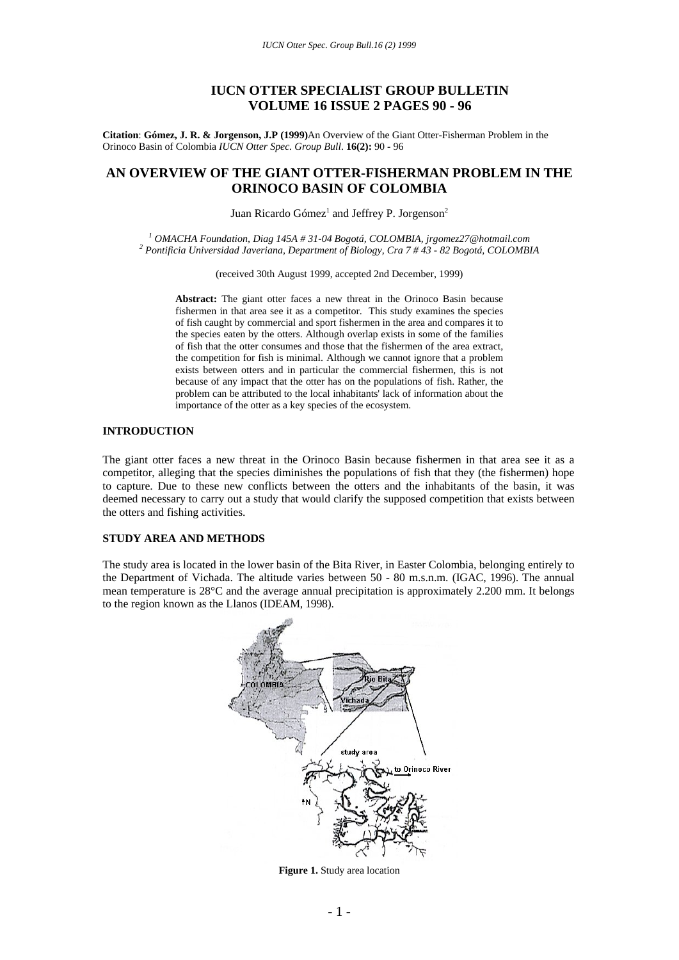# **IUCN OTTER SPECIALIST GROUP BULLETIN VOLUME 16 ISSUE 2 PAGES 90 - 96**

**Citation**: **Gómez, J. R. & Jorgenson, J.P (1999)**An Overview of the Giant Otter-Fisherman Problem in the Orinoco Basin of Colombia *IUCN Otter Spec. Group Bull*. **16(2):** 90 - 96

# **AN OVERVIEW OF THE GIANT OTTER-FISHERMAN PROBLEM IN THE ORINOCO BASIN OF COLOMBIA**

Juan Ricardo Gómez<sup>1</sup> and Jeffrey P. Jorgenson<sup>2</sup>

<sup>1</sup> OMACHA Foundation, Diag 145A # 31-04 Bogotá, COLOMBIA, jrgomez27@hotmail.com<br><sup>2</sup> Pontificia Universidad Inverigna Department of Pieleon, Cra 7 # 42, 82 Posetá, COLOMPi  *Pontificia Universidad Javeriana, Department of Biology, Cra 7 # 43 - 82 Bogotá, COLOMBIA* 

(received 30th August 1999, accepted 2nd December, 1999)

**Abstract:** The giant otter faces a new threat in the Orinoco Basin because fishermen in that area see it as a competitor. This study examines the species of fish caught by commercial and sport fishermen in the area and compares it to the species eaten by the otters. Although overlap exists in some of the families of fish that the otter consumes and those that the fishermen of the area extract, the competition for fish is minimal. Although we cannot ignore that a problem exists between otters and in particular the commercial fishermen, this is not because of any impact that the otter has on the populations of fish. Rather, the problem can be attributed to the local inhabitants' lack of information about the importance of the otter as a key species of the ecosystem.

### **INTRODUCTION**

The giant otter faces a new threat in the Orinoco Basin because fishermen in that area see it as a competitor, alleging that the species diminishes the populations of fish that they (the fishermen) hope to capture. Due to these new conflicts between the otters and the inhabitants of the basin, it was deemed necessary to carry out a study that would clarify the supposed competition that exists between the otters and fishing activities.

### **STUDY AREA AND METHODS**

The study area is located in the lower basin of the Bita River, in Easter Colombia, belonging entirely to the Department of Vichada. The altitude varies between 50 - 80 m.s.n.m. (IGAC, 1996). The annual mean temperature is 28°C and the average annual precipitation is approximately 2.200 mm. It belongs to the region known as the Llanos (IDEAM, 1998).



**Figure 1.** Study area location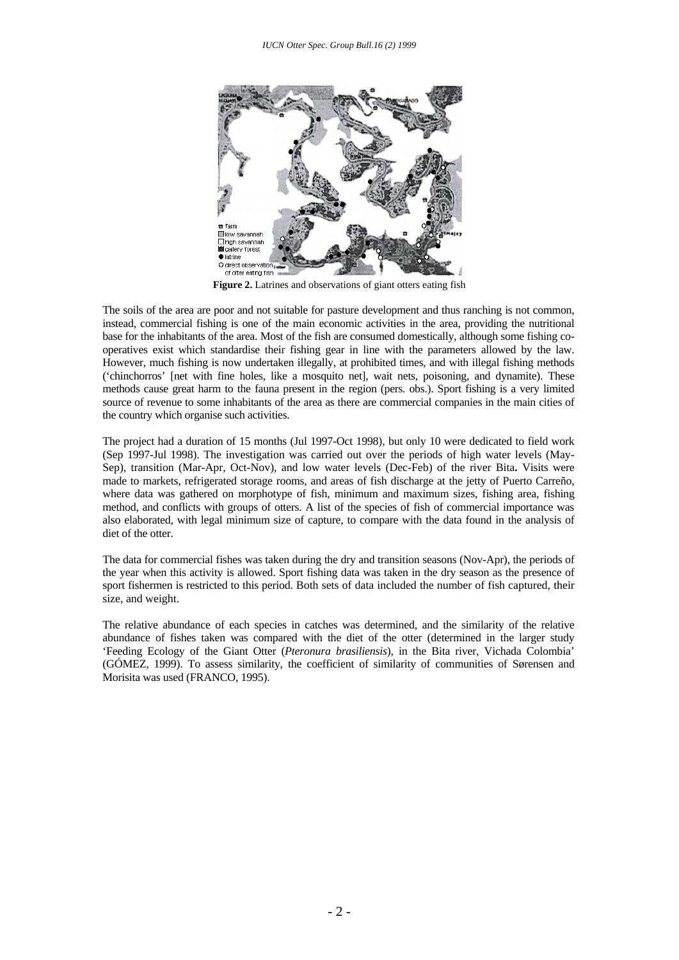

**Figure 2.** Latrines and observations of giant otters eating fish

The soils of the area are poor and not suitable for pasture development and thus ranching is not common, instead, commercial fishing is one of the main economic activities in the area, providing the nutritional base for the inhabitants of the area. Most of the fish are consumed domestically, although some fishing cooperatives exist which standardise their fishing gear in line with the parameters allowed by the law. However, much fishing is now undertaken illegally, at prohibited times, and with illegal fishing methods ('chinchorros' [net with fine holes, like a mosquito net], wait nets, poisoning, and dynamite). These methods cause great harm to the fauna present in the region (pers. obs.). Sport fishing is a very limited source of revenue to some inhabitants of the area as there are commercial companies in the main cities of the country which organise such activities.

The project had a duration of 15 months (Jul 1997-Oct 1998), but only 10 were dedicated to field work (Sep 1997-Jul 1998). The investigation was carried out over the periods of high water levels (May-Sep), transition (Mar-Apr, Oct-Nov), and low water levels (Dec-Feb) of the river Bita**.** Visits were made to markets, refrigerated storage rooms, and areas of fish discharge at the jetty of Puerto Carreño, where data was gathered on morphotype of fish, minimum and maximum sizes, fishing area, fishing method, and conflicts with groups of otters. A list of the species of fish of commercial importance was also elaborated, with legal minimum size of capture, to compare with the data found in the analysis of diet of the otter.

The data for commercial fishes was taken during the dry and transition seasons (Nov-Apr), the periods of the year when this activity is allowed. Sport fishing data was taken in the dry season as the presence of sport fishermen is restricted to this period. Both sets of data included the number of fish captured, their size, and weight.

The relative abundance of each species in catches was determined, and the similarity of the relative abundance of fishes taken was compared with the diet of the otter (determined in the larger study 'Feeding Ecology of the Giant Otter (*Pteronura brasiliensis*), in the Bita river, Vichada Colombia' (GÓMEZ, 1999). To assess similarity, the coefficient of similarity of communities of Sørensen and Morisita was used (FRANCO, 1995).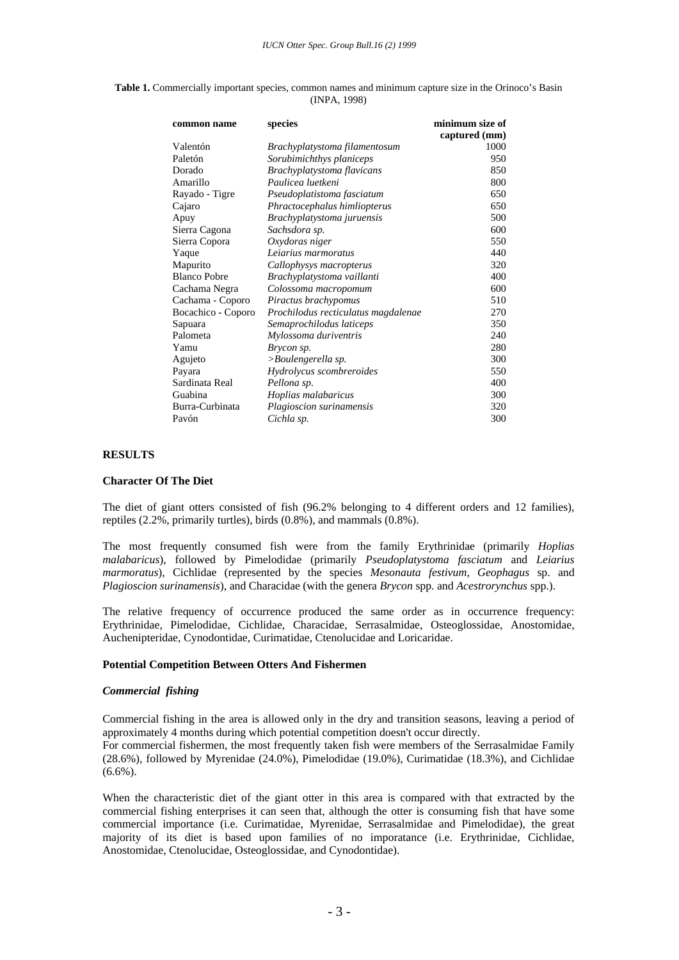| common name         | species                             | minimum size of |
|---------------------|-------------------------------------|-----------------|
|                     |                                     | captured (mm)   |
| Valentón            | Brachyplatystoma filamentosum       | 1000            |
| Paletón             | Sorubimichthys planiceps            | 950             |
| Dorado              | Brachyplatystoma flavicans          | 850             |
| Amarillo            | Paulicea luetkeni                   | 800             |
| Rayado - Tigre      | Pseudoplatistoma fasciatum          | 650             |
| Cajaro              | Phractocephalus himliopterus        | 650             |
| Apuy                | Brachyplatystoma juruensis          | 500             |
| Sierra Cagona       | Sachsdora sp.                       | 600             |
| Sierra Copora       | Oxydoras niger                      | 550             |
| Yaque               | Leiarius marmoratus                 | 440             |
| Mapurito            | Callophysys macropterus             | 320             |
| <b>Blanco Pobre</b> | Brachyplatystoma vaillanti          | 400             |
| Cachama Negra       | Colossoma macropomum                | 600             |
| Cachama - Coporo    | Piractus brachypomus                | 510             |
| Bocachico - Coporo  | Prochilodus recticulatus magdalenae | 270             |
| Sapuara             | Semaprochilodus laticeps            | 350             |
| Palometa            | Mylossoma duriventris               | 240             |
| Yamu                | Brycon sp.                          | 280             |
| Agujeto             | >Boulengerella sp.                  | 300             |
| Payara              | Hydrolycus scombreroides            | 550             |
| Sardinata Real      | Pellona sp.                         | 400             |
| Guabina             | Hoplias malabaricus                 | 300             |
| Burra-Curbinata     | Plagioscion surinamensis            | 320             |
| Pavón               | Cichla sp.                          | 300             |

**Table 1.** Commercially important species, common names and minimum capture size in the Orinoco's Basin (INPA, 1998)

#### **RESULTS**

#### **Character Of The Diet**

The diet of giant otters consisted of fish (96.2% belonging to 4 different orders and 12 families), reptiles (2.2%, primarily turtles), birds (0.8%), and mammals (0.8%).

The most frequently consumed fish were from the family Erythrinidae (primarily *Hoplias malabaricus*), followed by Pimelodidae (primarily *Pseudoplatystoma fasciatum* and *Leiarius marmoratus*), Cichlidae (represented by the species *Mesonauta festivum*, *Geophagus* sp. and *Plagioscion surinamensis*), and Characidae (with the genera *Brycon* spp. and *Acestrorynchus* spp.).

The relative frequency of occurrence produced the same order as in occurrence frequency: Erythrinidae, Pimelodidae, Cichlidae, Characidae, Serrasalmidae, Osteoglossidae, Anostomidae, Auchenipteridae, Cynodontidae, Curimatidae, Ctenolucidae and Loricaridae.

### **Potential Competition Between Otters And Fishermen**

#### *Commercial fishing*

Commercial fishing in the area is allowed only in the dry and transition seasons, leaving a period of approximately 4 months during which potential competition doesn't occur directly.

For commercial fishermen, the most frequently taken fish were members of the Serrasalmidae Family (28.6%), followed by Myrenidae (24.0%), Pimelodidae (19.0%), Curimatidae (18.3%), and Cichlidae  $(6.6\%)$ .

When the characteristic diet of the giant otter in this area is compared with that extracted by the commercial fishing enterprises it can seen that, although the otter is consuming fish that have some commercial importance (i.e. Curimatidae, Myrenidae, Serrasalmidae and Pimelodidae), the great majority of its diet is based upon families of no imporatance (i.e. Erythrinidae, Cichlidae, Anostomidae, Ctenolucidae, Osteoglossidae, and Cynodontidae).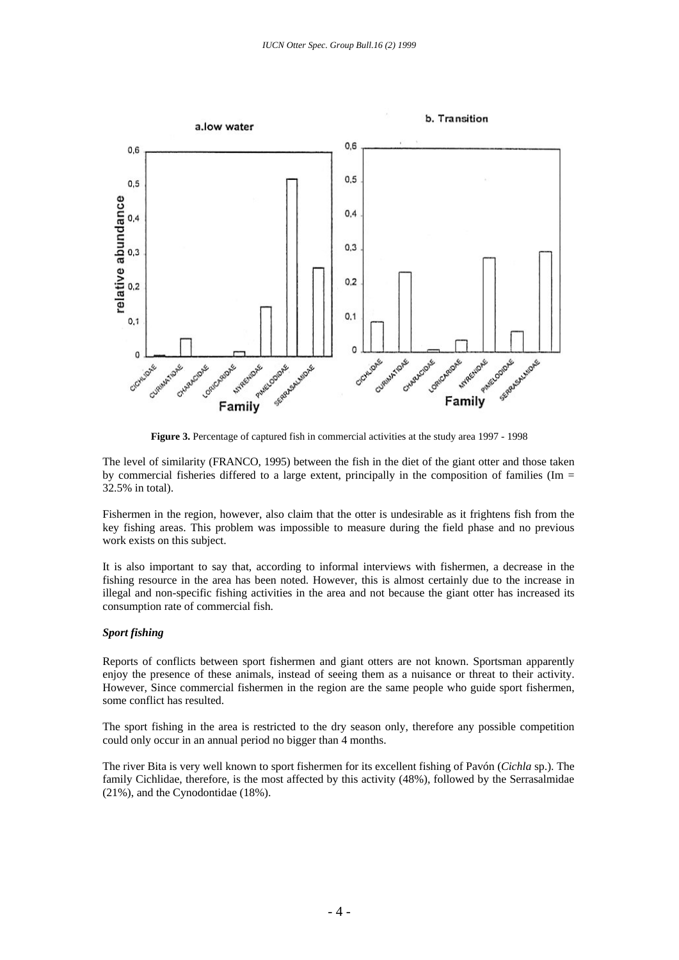

The level of similarity (FRANCO, 1995) between the fish in the diet of the giant otter and those taken by commercial fisheries differed to a large extent, principally in the composition of families (Im = 32.5% in total).

Fishermen in the region, however, also claim that the otter is undesirable as it frightens fish from the key fishing areas. This problem was impossible to measure during the field phase and no previous work exists on this subject.

It is also important to say that, according to informal interviews with fishermen, a decrease in the fishing resource in the area has been noted. However, this is almost certainly due to the increase in illegal and non-specific fishing activities in the area and not because the giant otter has increased its consumption rate of commercial fish.

## *Sport fishing*

Reports of conflicts between sport fishermen and giant otters are not known. Sportsman apparently enjoy the presence of these animals, instead of seeing them as a nuisance or threat to their activity. However, Since commercial fishermen in the region are the same people who guide sport fishermen, some conflict has resulted.

The sport fishing in the area is restricted to the dry season only, therefore any possible competition could only occur in an annual period no bigger than 4 months.

The river Bita is very well known to sport fishermen for its excellent fishing of Pavón (*Cichla* sp.). The family Cichlidae, therefore, is the most affected by this activity (48%), followed by the Serrasalmidae (21%), and the Cynodontidae (18%).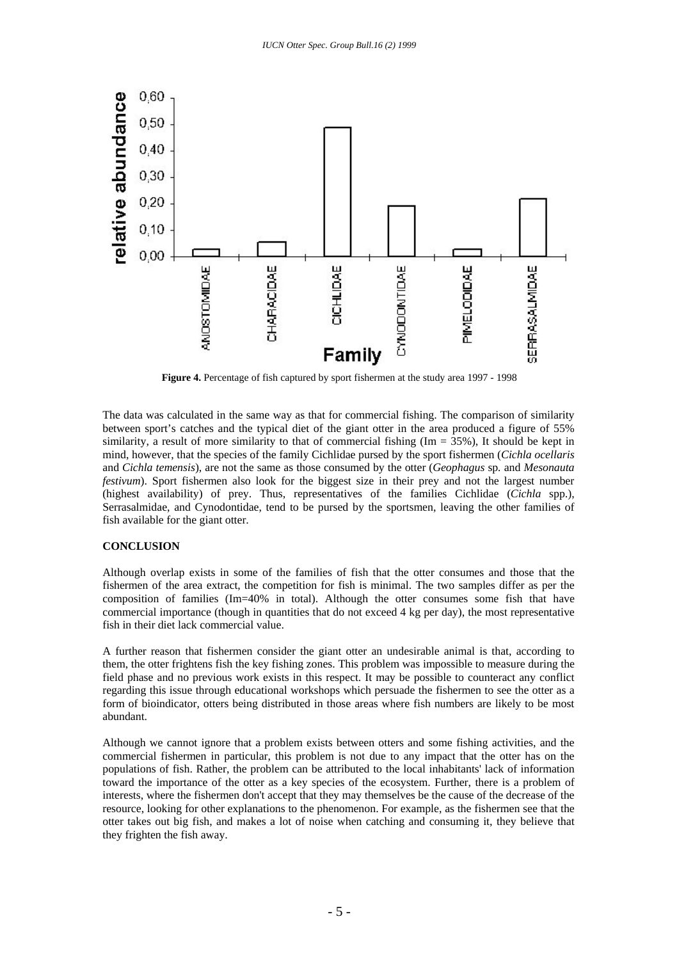

**Figure 4.** Percentage of fish captured by sport fishermen at the study area 1997 - 1998

The data was calculated in the same way as that for commercial fishing. The comparison of similarity between sport's catches and the typical diet of the giant otter in the area produced a figure of 55% similarity, a result of more similarity to that of commercial fishing ( $Im = 35\%$ ), It should be kept in mind, however, that the species of the family Cichlidae pursed by the sport fishermen (*Cichla ocellaris* and *Cichla temensis*), are not the same as those consumed by the otter (*Geophagus* sp*.* and *Mesonauta festivum*). Sport fishermen also look for the biggest size in their prey and not the largest number (highest availability) of prey. Thus, representatives of the families Cichlidae (*Cichla* spp.), Serrasalmidae, and Cynodontidae, tend to be pursed by the sportsmen, leaving the other families of fish available for the giant otter.

## **CONCLUSION**

Although overlap exists in some of the families of fish that the otter consumes and those that the fishermen of the area extract, the competition for fish is minimal. The two samples differ as per the composition of families (Im=40% in total). Although the otter consumes some fish that have commercial importance (though in quantities that do not exceed 4 kg per day), the most representative fish in their diet lack commercial value.

A further reason that fishermen consider the giant otter an undesirable animal is that, according to them, the otter frightens fish the key fishing zones. This problem was impossible to measure during the field phase and no previous work exists in this respect. It may be possible to counteract any conflict regarding this issue through educational workshops which persuade the fishermen to see the otter as a form of bioindicator, otters being distributed in those areas where fish numbers are likely to be most abundant.

Although we cannot ignore that a problem exists between otters and some fishing activities, and the commercial fishermen in particular, this problem is not due to any impact that the otter has on the populations of fish. Rather, the problem can be attributed to the local inhabitants' lack of information toward the importance of the otter as a key species of the ecosystem. Further, there is a problem of interests, where the fishermen don't accept that they may themselves be the cause of the decrease of the resource, looking for other explanations to the phenomenon. For example, as the fishermen see that the otter takes out big fish, and makes a lot of noise when catching and consuming it, they believe that they frighten the fish away.